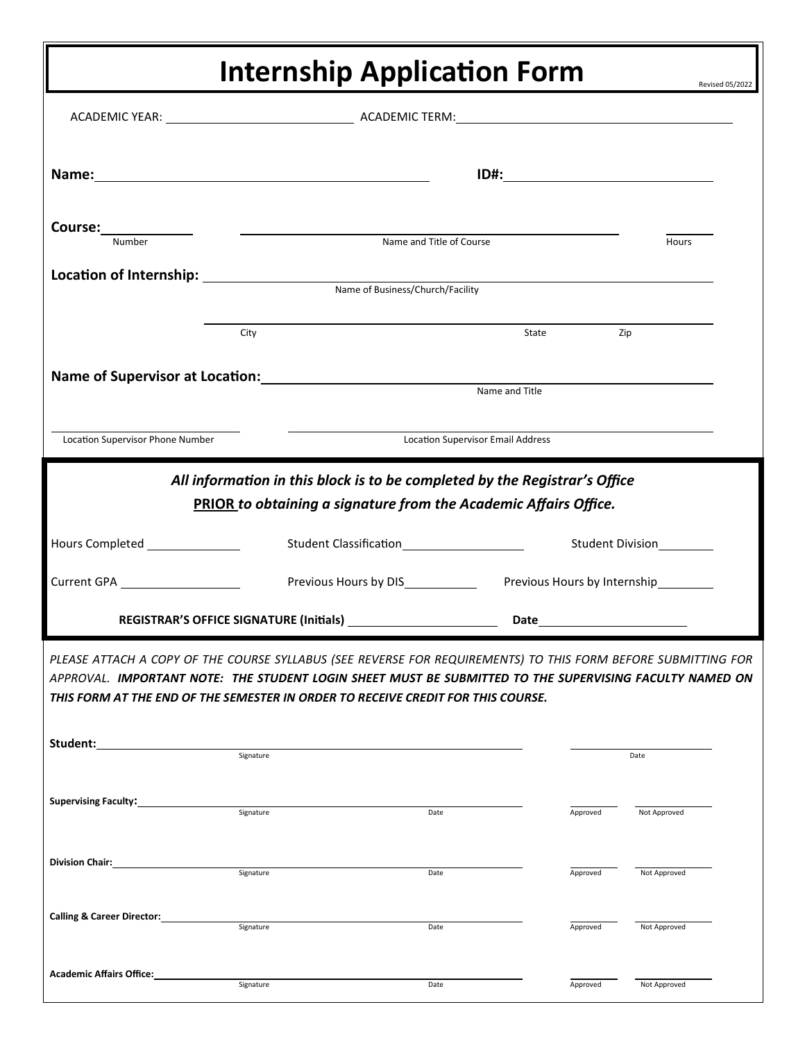## **Internship Application Form**

|                                                                                                                                                                                                                                                                                                                                               |                                  |                          |                                           | Revised 05/2022 |  |
|-----------------------------------------------------------------------------------------------------------------------------------------------------------------------------------------------------------------------------------------------------------------------------------------------------------------------------------------------|----------------------------------|--------------------------|-------------------------------------------|-----------------|--|
|                                                                                                                                                                                                                                                                                                                                               |                                  |                          |                                           |                 |  |
| Name: Name and the second state of the second state of the second state of the second state of the second state of the second state of the second state of the second state of the second state of the second state of the sec                                                                                                                |                                  |                          | <u>ID#:______________________________</u> |                 |  |
| Course:______________<br>Number                                                                                                                                                                                                                                                                                                               |                                  | Name and Title of Course |                                           | Hours           |  |
|                                                                                                                                                                                                                                                                                                                                               | Name of Business/Church/Facility |                          |                                           |                 |  |
|                                                                                                                                                                                                                                                                                                                                               | City                             |                          | State                                     | Zip             |  |
| Name of Supervisor at Location: Manual Manual Manual Manual Manual Manual Manual Manual Manual Manual Manual M                                                                                                                                                                                                                                |                                  |                          | Name and Title                            |                 |  |
| Location Supervisor Phone Number                                                                                                                                                                                                                                                                                                              |                                  |                          | <b>Location Supervisor Email Address</b>  |                 |  |
| All information in this block is to be completed by the Registrar's Office<br>PRIOR to obtaining a signature from the Academic Affairs Office.<br>Hours Completed ________________                                                                                                                                                            |                                  |                          |                                           |                 |  |
| Current GPA _____________________                                                                                                                                                                                                                                                                                                             |                                  |                          |                                           |                 |  |
| PLEASE ATTACH A COPY OF THE COURSE SYLLABUS (SEE REVERSE FOR REQUIREMENTS) TO THIS FORM BEFORE SUBMITTING FOR<br>APPROVAL. IMPORTANT NOTE: THE STUDENT LOGIN SHEET MUST BE SUBMITTED TO THE SUPERVISING FACULTY NAMED ON<br>THIS FORM AT THE END OF THE SEMESTER IN ORDER TO RECEIVE CREDIT FOR THIS COURSE.<br>Student:<br>Signature<br>Date |                                  |                          |                                           |                 |  |
| Supervising Faculty:<br><u> and Theoreman Automnances</u>                                                                                                                                                                                                                                                                                     | Signature                        | Date                     | Approved                                  | Not Approved    |  |
| Division Chair:                                                                                                                                                                                                                                                                                                                               | Signature                        | Date                     | Approved                                  | Not Approved    |  |
| Calling & Career Director:                                                                                                                                                                                                                                                                                                                    | Signature                        | Date                     | Approved                                  | Not Approved    |  |
| <b>Academic Affairs Office:</b>                                                                                                                                                                                                                                                                                                               | Signature                        | Date                     | Approved                                  | Not Approved    |  |